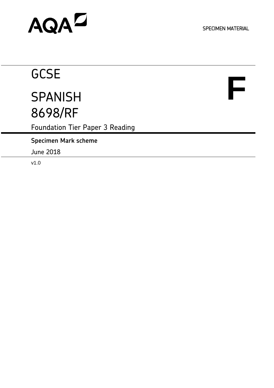**F**

# AQAD

## **GCSE**

### **SPANISH** 8698/RF

Foundation Tier Paper 3 Reading

**Specimen Mark scheme**

June 2018

v1.0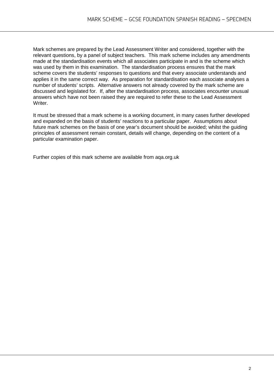Mark schemes are prepared by the Lead Assessment Writer and considered, together with the relevant questions, by a panel of subject teachers. This mark scheme includes any amendments made at the standardisation events which all associates participate in and is the scheme which was used by them in this examination. The standardisation process ensures that the mark scheme covers the students' responses to questions and that every associate understands and applies it in the same correct way. As preparation for standardisation each associate analyses a number of students' scripts. Alternative answers not already covered by the mark scheme are discussed and legislated for. If, after the standardisation process, associates encounter unusual answers which have not been raised they are required to refer these to the Lead Assessment Writer.

It must be stressed that a mark scheme is a working document, in many cases further developed and expanded on the basis of students' reactions to a particular paper. Assumptions about future mark schemes on the basis of one year's document should be avoided; whilst the guiding principles of assessment remain constant, details will change, depending on the content of a particular examination paper.

Further copies of this mark scheme are available from aqa.org.uk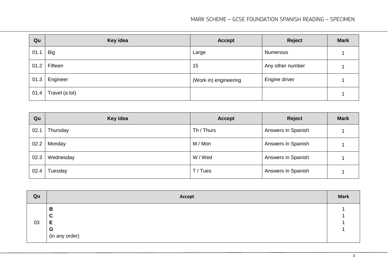| Qu   | Key idea       | <b>Accept</b>         | <b>Reject</b>    | <b>Mark</b> |
|------|----------------|-----------------------|------------------|-------------|
| 01.1 | <b>Big</b>     | Large                 | Numerous         |             |
| 01.2 | Fifteen        | 15                    | Any other number |             |
| 01.3 | Engineer       | (Work in) engineering | Engine driver    |             |
| 01.4 | Travel (a lot) |                       |                  |             |

| Qu   | Key idea  | <b>Accept</b> | <b>Reject</b>      | <b>Mark</b> |
|------|-----------|---------------|--------------------|-------------|
| 02.1 | Thursday  | Th / Thurs    | Answers in Spanish |             |
| 02.2 | Monday    | M / Mon       | Answers in Spanish |             |
| 02.3 | Wednesday | W/Wed         | Answers in Spanish |             |
| 02.4 | Tuesday   | T / Tues      | Answers in Spanish |             |

| Qu | Accept                                       | <b>Mark</b> |
|----|----------------------------------------------|-------------|
| 03 | B<br>$\mathbf c$<br>E<br>G<br>(in any order) |             |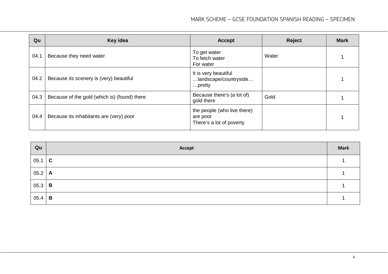| Qu   | Key idea                                     | <b>Accept</b>                                                       | <b>Reject</b> | <b>Mark</b> |
|------|----------------------------------------------|---------------------------------------------------------------------|---------------|-------------|
| 04.1 | Because they need water                      | To get water<br>To fetch water<br>For water                         | Water         |             |
| 04.2 | Because its scenery is (very) beautiful      | It is very beautiful<br>landscape/countryside<br>pretty             |               |             |
| 04.3 | Because of the gold (which is) (found) there | Because there's (a lot of)<br>gold there                            | Gold          |             |
| 04.4 | Because its inhabitants are (very) poor      | the people (who live there)<br>are poor<br>There's a lot of poverty |               |             |

| Qu         | Accept       | <b>Mark</b> |
|------------|--------------|-------------|
| 05.1       | $\mathbf{C}$ |             |
| $05.2$   A |              |             |
| $05.3$   B |              |             |
| $05.4$ B   |              |             |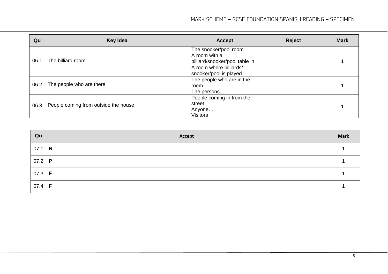| Qu   | Key idea                             | <b>Accept</b>                                                                                                                 | <b>Reject</b> | <b>Mark</b> |
|------|--------------------------------------|-------------------------------------------------------------------------------------------------------------------------------|---------------|-------------|
| 06.1 | The billiard room                    | The snooker/pool room<br>A room with a<br>billiard/snooker/pool table in<br>A room where billiards/<br>snooker/pool is played |               |             |
| 06.2 | The people who are there             | The people who are in the<br>room<br>The persons                                                                              |               |             |
| 06.3 | People coming from outside the house | People coming in from the<br>street<br>Anyone<br><b>Visitors</b>                                                              |               |             |

| Qu              | Accept   | <b>Mark</b> |
|-----------------|----------|-------------|
| 07.1            | $\mid N$ |             |
| 07.2   $P$      |          |             |
| 07.3   <b>F</b> |          |             |
| $07.4 \mid F$   |          |             |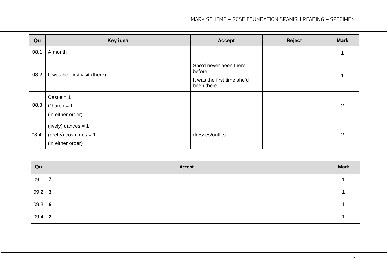| Qu   | Key idea                                                              | <b>Accept</b>                                                                   | <b>Reject</b> | <b>Mark</b> |
|------|-----------------------------------------------------------------------|---------------------------------------------------------------------------------|---------------|-------------|
| 08.1 | A month                                                               |                                                                                 |               |             |
| 08.2 | It was her first visit (there).                                       | She'd never been there<br>before.<br>It was the first time she'd<br>been there. |               |             |
| 08.3 | Castle = $1$<br>Church = $1$<br>(in either order)                     |                                                                                 |               | 2           |
| 08.4 | (lively) dances = $1$<br>(pretty) costumes = $1$<br>(in either order) | dresses/outfits                                                                 |               | 2           |

| Qu       | Accept                  | <b>Mark</b> |
|----------|-------------------------|-------------|
| 09.1     | 7                       |             |
| $09.2$ 3 |                         |             |
| 09.3 6   |                         |             |
| 09.4     | $\overline{\mathbf{2}}$ |             |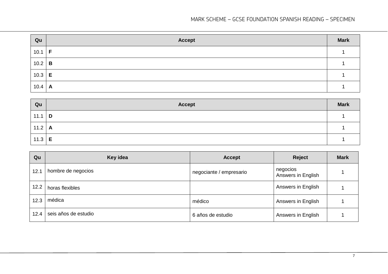| Qu              | <b>Accept</b> | <b>Mark</b> |
|-----------------|---------------|-------------|
| 10.1            | $\mathsf{F}$  |             |
| 10.2   <b>B</b> |               |             |
| 10.3   $E$      |               |             |
| $10.4$ A        |               |             |

| Qu                     | <b>Accept</b> | <b>Mark</b> |
|------------------------|---------------|-------------|
| $11.1$ D               |               |             |
| 11.2 $\vert$ A         |               |             |
| $\vert$ 11.3 $\vert$ E |               |             |

| Qu   | Key idea             | <b>Accept</b>           | <b>Reject</b>                  | <b>Mark</b> |
|------|----------------------|-------------------------|--------------------------------|-------------|
| 12.1 | hombre de negocios   | negociante / empresario | negocios<br>Answers in English |             |
| 12.2 | horas flexibles      |                         | Answers in English             |             |
| 12.3 | médica               | médico                  | Answers in English             |             |
| 12.4 | seis años de estudio | 6 años de estudio       | Answers in English             |             |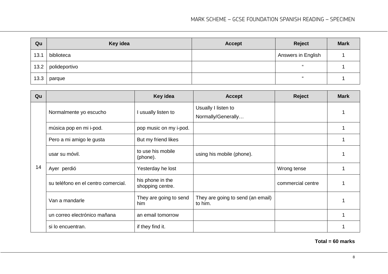| Qu   | Key idea      | <b>Accept</b> | <b>Reject</b>      | <b>Mark</b> |
|------|---------------|---------------|--------------------|-------------|
| 13.1 | biblioteca    |               | Answers in English |             |
| 13.2 | polideportivo |               | $\epsilon$         |             |
| 13.3 | parque        |               | "                  |             |

| Qu |                                     | Key idea                             | <b>Accept</b>                                | <b>Reject</b>     | <b>Mark</b> |
|----|-------------------------------------|--------------------------------------|----------------------------------------------|-------------------|-------------|
| 14 | Normalmente yo escucho              | usually listen to                    | Usually I listen to<br>Normally/Generally    |                   |             |
|    | música pop en mi i-pod.             | pop music on my i-pod.               |                                              |                   |             |
|    | Pero a mi amigo le gusta            | But my friend likes                  |                                              |                   |             |
|    | usar su móvil.                      | to use his mobile<br>(phone).        | using his mobile (phone).                    |                   |             |
|    | Ayer perdió                         | Yesterday he lost                    |                                              | Wrong tense       |             |
|    | su teléfono en el centro comercial. | his phone in the<br>shopping centre. |                                              | commercial centre |             |
|    | Van a mandarle                      | They are going to send<br>him        | They are going to send (an email)<br>to him. |                   |             |
|    | un correo electrónico mañana        | an email tomorrow                    |                                              |                   |             |
|    | si lo encuentran.                   | if they find it.                     |                                              |                   |             |

**Total = 60 marks**